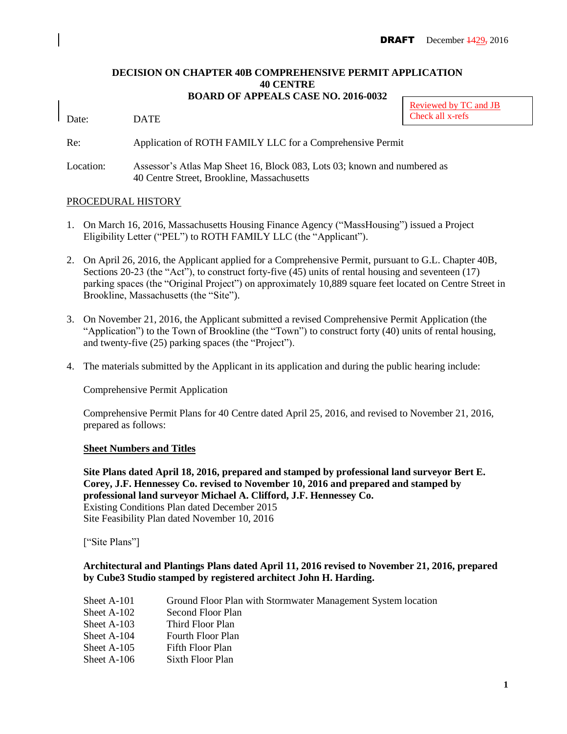### **DECISION ON CHAPTER 40B COMPREHENSIVE PERMIT APPLICATION 40 CENTRE BOARD OF APPEALS CASE NO. 2016-0032**

Date: DATE

Re: Application of ROTH FAMILY LLC for a Comprehensive Permit

Location: Assessor's Atlas Map Sheet 16, Block 083, Lots 03; known and numbered as 40 Centre Street, Brookline, Massachusetts

### PROCEDURAL HISTORY

- 1. On March 16, 2016, Massachusetts Housing Finance Agency ("MassHousing") issued a Project Eligibility Letter ("PEL") to ROTH FAMILY LLC (the "Applicant").
- 2. On April 26, 2016, the Applicant applied for a Comprehensive Permit, pursuant to G.L. Chapter 40B, Sections 20-23 (the "Act"), to construct forty-five (45) units of rental housing and seventeen (17) parking spaces (the "Original Project") on approximately 10,889 square feet located on Centre Street in Brookline, Massachusetts (the "Site").
- 3. On November 21, 2016, the Applicant submitted a revised Comprehensive Permit Application (the "Application") to the Town of Brookline (the "Town") to construct forty (40) units of rental housing, and twenty-five (25) parking spaces (the "Project").
- 4. The materials submitted by the Applicant in its application and during the public hearing include:

Comprehensive Permit Application

Comprehensive Permit Plans for 40 Centre dated April 25, 2016, and revised to November 21, 2016, prepared as follows:

### **Sheet Numbers and Titles**

**Site Plans dated April 18, 2016, prepared and stamped by professional land surveyor Bert E. Corey, J.F. Hennessey Co. revised to November 10, 2016 and prepared and stamped by professional land surveyor Michael A. Clifford, J.F. Hennessey Co.** Existing Conditions Plan dated December 2015 Site Feasibility Plan dated November 10, 2016

["Site Plans"]

## **Architectural and Plantings Plans dated April 11, 2016 revised to November 21, 2016, prepared by Cube3 Studio stamped by registered architect John H. Harding.**

| Sheet A-101   | Ground Floor Plan with Stormwater Management System location |
|---------------|--------------------------------------------------------------|
| Sheet A-102   | Second Floor Plan                                            |
| Sheet $A-103$ | Third Floor Plan                                             |
| Sheet $A-104$ | <b>Fourth Floor Plan</b>                                     |
| Sheet $A-105$ | Fifth Floor Plan                                             |
| Sheet A-106   | Sixth Floor Plan                                             |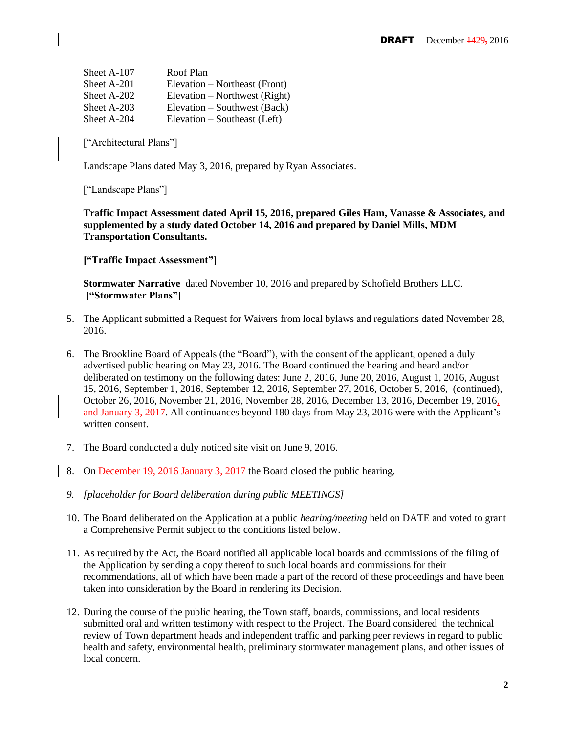| Sheet A-107 | Roof Plan                     |
|-------------|-------------------------------|
| Sheet A-201 | Elevation – Northeast (Front) |
| Sheet A-202 | Elevation – Northwest (Right) |
| Sheet A-203 | Elevation – Southwest (Back)  |
| Sheet A-204 | Elevation – Southeast (Left)  |

["Architectural Plans"]

Landscape Plans dated May 3, 2016, prepared by Ryan Associates.

["Landscape Plans"]

**Traffic Impact Assessment dated April 15, 2016, prepared Giles Ham, Vanasse & Associates, and supplemented by a study dated October 14, 2016 and prepared by Daniel Mills, MDM Transportation Consultants.**

**["Traffic Impact Assessment"]**

**Stormwater Narrative** dated November 10, 2016 and prepared by Schofield Brothers LLC. **["Stormwater Plans"]**

- 5. The Applicant submitted a Request for Waivers from local bylaws and regulations dated November 28, 2016.
- 6. The Brookline Board of Appeals (the "Board"), with the consent of the applicant, opened a duly advertised public hearing on May 23, 2016. The Board continued the hearing and heard and/or deliberated on testimony on the following dates: June 2, 2016, June 20, 2016, August 1, 2016, August 15, 2016, September 1, 2016, September 12, 2016, September 27, 2016, October 5, 2016, (continued), October 26, 2016, November 21, 2016, November 28, 2016, December 13, 2016, December 19, 2016, and January 3, 2017. All continuances beyond 180 days from May 23, 2016 were with the Applicant's written consent.
- 7. The Board conducted a duly noticed site visit on June 9, 2016.
- 8. On December 19, 2016 January 3, 2017 the Board closed the public hearing.
- *9. [placeholder for Board deliberation during public MEETINGS]*
- 10. The Board deliberated on the Application at a public *hearing/meeting* held on DATE and voted to grant a Comprehensive Permit subject to the conditions listed below.
- 11. As required by the Act, the Board notified all applicable local boards and commissions of the filing of the Application by sending a copy thereof to such local boards and commissions for their recommendations, all of which have been made a part of the record of these proceedings and have been taken into consideration by the Board in rendering its Decision.
- 12. During the course of the public hearing, the Town staff, boards, commissions, and local residents submitted oral and written testimony with respect to the Project. The Board considered the technical review of Town department heads and independent traffic and parking peer reviews in regard to public health and safety, environmental health, preliminary stormwater management plans, and other issues of local concern.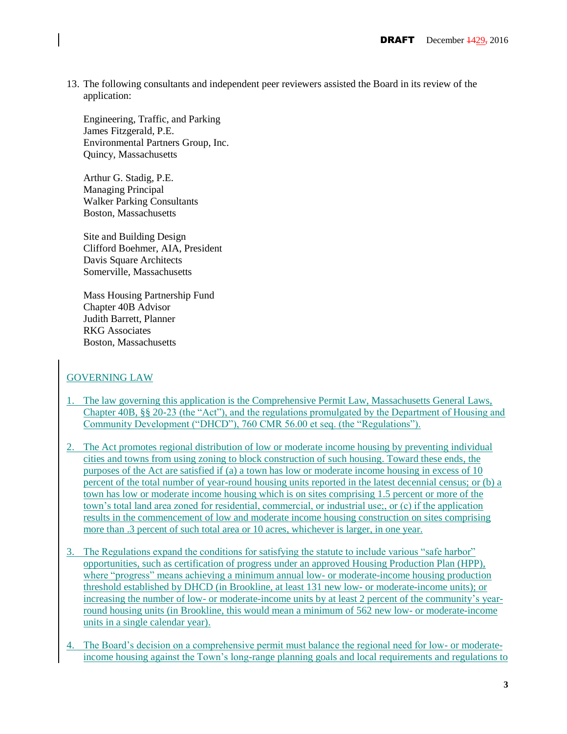13. The following consultants and independent peer reviewers assisted the Board in its review of the application:

Engineering, Traffic, and Parking James Fitzgerald, P.E. Environmental Partners Group, Inc. Quincy, Massachusetts

Arthur G. Stadig, P.E. Managing Principal Walker Parking Consultants Boston, Massachusetts

Site and Building Design Clifford Boehmer, AIA, President Davis Square Architects Somerville, Massachusetts

Mass Housing Partnership Fund Chapter 40B Advisor Judith Barrett, Planner RKG Associates Boston, Massachusetts

## GOVERNING LAW

- 1. The law governing this application is the Comprehensive Permit Law, Massachusetts General Laws, Chapter 40B, §§ 20-23 (the "Act"), and the regulations promulgated by the Department of Housing and Community Development ("DHCD"), 760 CMR 56.00 et seq. (the "Regulations").
- 2. The Act promotes regional distribution of low or moderate income housing by preventing individual cities and towns from using zoning to block construction of such housing. Toward these ends, the purposes of the Act are satisfied if (a) a town has low or moderate income housing in excess of 10 percent of the total number of year-round housing units reported in the latest decennial census; or (b) a town has low or moderate income housing which is on sites comprising 1.5 percent or more of the town's total land area zoned for residential, commercial, or industrial use;, or (c) if the application results in the commencement of low and moderate income housing construction on sites comprising more than .3 percent of such total area or 10 acres, whichever is larger, in one year.
- 3. The Regulations expand the conditions for satisfying the statute to include various "safe harbor" opportunities, such as certification of progress under an approved Housing Production Plan (HPP), where "progress" means achieving a minimum annual low- or moderate-income housing production threshold established by DHCD (in Brookline, at least 131 new low- or moderate-income units); or increasing the number of low- or moderate-income units by at least 2 percent of the community's yearround housing units (in Brookline, this would mean a minimum of 562 new low- or moderate-income units in a single calendar year).
- The Board's decision on a comprehensive permit must balance the regional need for low- or moderateincome housing against the Town's long-range planning goals and local requirements and regulations to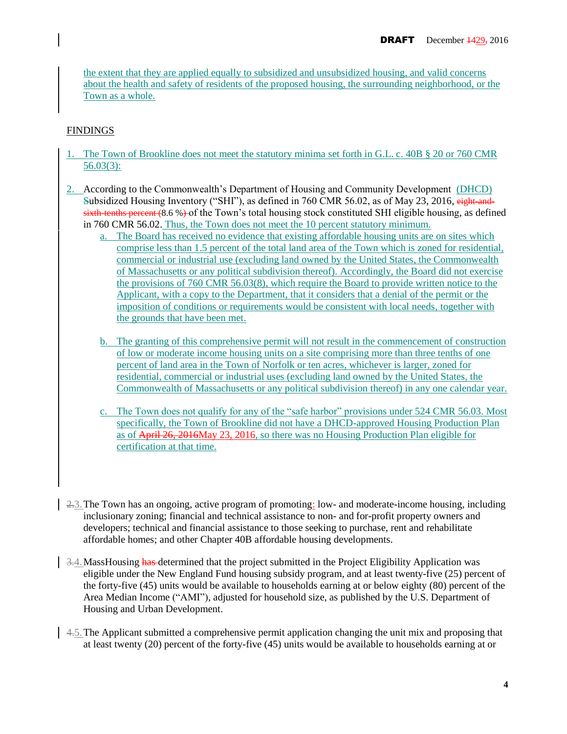the extent that they are applied equally to subsidized and unsubsidized housing, and valid concerns about the health and safety of residents of the proposed housing, the surrounding neighborhood, or the Town as a whole.

## FINDINGS

- The Town of Brookline does not meet the statutory minima set forth in G.L. c. 40B § 20 or 760 CMR 56.03(3):
- 2. According to the Commonwealth's Department of Housing and Community Development (DHCD) Subsidized Housing Inventory ("SHI"), as defined in 760 CMR 56.02, as of May 23, 2016, eight-and $s$  is  $s$  is the tenths percent (8.6 %) of the Town's total housing stock constituted SHI eligible housing, as defined in 760 CMR 56.02. Thus, the Town does not meet the 10 percent statutory minimum.
	- a. The Board has received no evidence that existing affordable housing units are on sites which comprise less than 1.5 percent of the total land area of the Town which is zoned for residential, commercial or industrial use (excluding land owned by the United States, the Commonwealth of Massachusetts or any political subdivision thereof). Accordingly, the Board did not exercise the provisions of 760 CMR 56.03(8), which require the Board to provide written notice to the Applicant, with a copy to the Department, that it considers that a denial of the permit or the imposition of conditions or requirements would be consistent with local needs, together with the grounds that have been met.
	- b. The granting of this comprehensive permit will not result in the commencement of construction of low or moderate income housing units on a site comprising more than three tenths of one percent of land area in the Town of Norfolk or ten acres, whichever is larger, zoned for residential, commercial or industrial uses (excluding land owned by the United States, the Commonwealth of Massachusetts or any political subdivision thereof) in any one calendar year.
	- c. The Town does not qualify for any of the "safe harbor" provisions under 524 CMR 56.03. Most specifically, the Town of Brookline did not have a DHCD-approved Housing Production Plan as of April 26, 2016May 23, 2016, so there was no Housing Production Plan eligible for certification at that time.
- 2.3. The Town has an ongoing, active program of promoting: low- and moderate-income housing, including inclusionary zoning; financial and technical assistance to non- and for-profit property owners and developers; technical and financial assistance to those seeking to purchase, rent and rehabilitate affordable homes; and other Chapter 40B affordable housing developments.
- $\frac{3.4}{8}$ . MassHousing has determined that the project submitted in the Project Eligibility Application was eligible under the New England Fund housing subsidy program, and at least twenty-five (25) percent of the forty-five (45) units would be available to households earning at or below eighty (80) percent of the Area Median Income ("AMI"), adjusted for household size, as published by the U.S. Department of Housing and Urban Development.
- $\frac{4.5}{4.5}$ . The Applicant submitted a comprehensive permit application changing the unit mix and proposing that at least twenty (20) percent of the forty-five (45) units would be available to households earning at or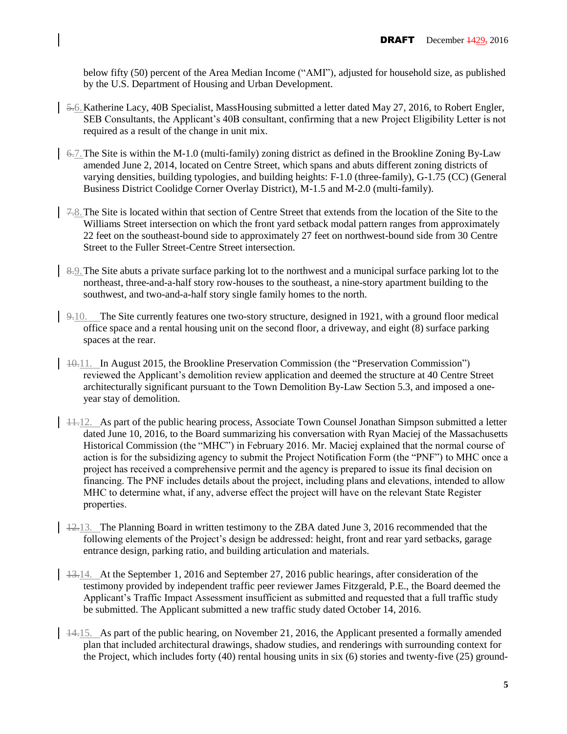below fifty (50) percent of the Area Median Income ("AMI"), adjusted for household size, as published by the U.S. Department of Housing and Urban Development.

- 5.6.Katherine Lacy, 40B Specialist, MassHousing submitted a letter dated May 27, 2016, to Robert Engler, SEB Consultants, the Applicant's 40B consultant, confirming that a new Project Eligibility Letter is not required as a result of the change in unit mix.
- $\frac{6}{7}$ . The Site is within the M-1.0 (multi-family) zoning district as defined in the Brookline Zoning By-Law amended June 2, 2014, located on Centre Street, which spans and abuts different zoning districts of varying densities, building typologies, and building heights: F-1.0 (three-family), G-1.75 (CC) (General Business District Coolidge Corner Overlay District), M-1.5 and M-2.0 (multi-family).
- 7.8.The Site is located within that section of Centre Street that extends from the location of the Site to the Williams Street intersection on which the front yard setback modal pattern ranges from approximately 22 feet on the southeast-bound side to approximately 27 feet on northwest-bound side from 30 Centre Street to the Fuller Street-Centre Street intersection.
- 8.9. The Site abuts a private surface parking lot to the northwest and a municipal surface parking lot to the northeast, three-and-a-half story row-houses to the southeast, a nine-story apartment building to the southwest, and two-and-a-half story single family homes to the north.
- 9.10. The Site currently features one two-story structure, designed in 1921, with a ground floor medical office space and a rental housing unit on the second floor, a driveway, and eight (8) surface parking spaces at the rear.
- 10.11. In August 2015, the Brookline Preservation Commission (the "Preservation Commission") reviewed the Applicant's demolition review application and deemed the structure at 40 Centre Street architecturally significant pursuant to the Town Demolition By-Law Section 5.3, and imposed a oneyear stay of demolition.
- 11.12. As part of the public hearing process, Associate Town Counsel Jonathan Simpson submitted a letter dated June 10, 2016, to the Board summarizing his conversation with Ryan Maciej of the Massachusetts Historical Commission (the "MHC") in February 2016. Mr. Maciej explained that the normal course of action is for the subsidizing agency to submit the Project Notification Form (the "PNF") to MHC once a project has received a comprehensive permit and the agency is prepared to issue its final decision on financing. The PNF includes details about the project, including plans and elevations, intended to allow MHC to determine what, if any, adverse effect the project will have on the relevant State Register properties.
- $\frac{12.13}{ }$ . The Planning Board in written testimony to the ZBA dated June 3, 2016 recommended that the following elements of the Project's design be addressed: height, front and rear yard setbacks, garage entrance design, parking ratio, and building articulation and materials.
- 13.14. At the September 1, 2016 and September 27, 2016 public hearings, after consideration of the testimony provided by independent traffic peer reviewer James Fitzgerald, P.E., the Board deemed the Applicant's Traffic Impact Assessment insufficient as submitted and requested that a full traffic study be submitted. The Applicant submitted a new traffic study dated October 14, 2016.
- $\vert$  44.15. As part of the public hearing, on November 21, 2016, the Applicant presented a formally amended plan that included architectural drawings, shadow studies, and renderings with surrounding context for the Project, which includes forty (40) rental housing units in six (6) stories and twenty-five (25) ground-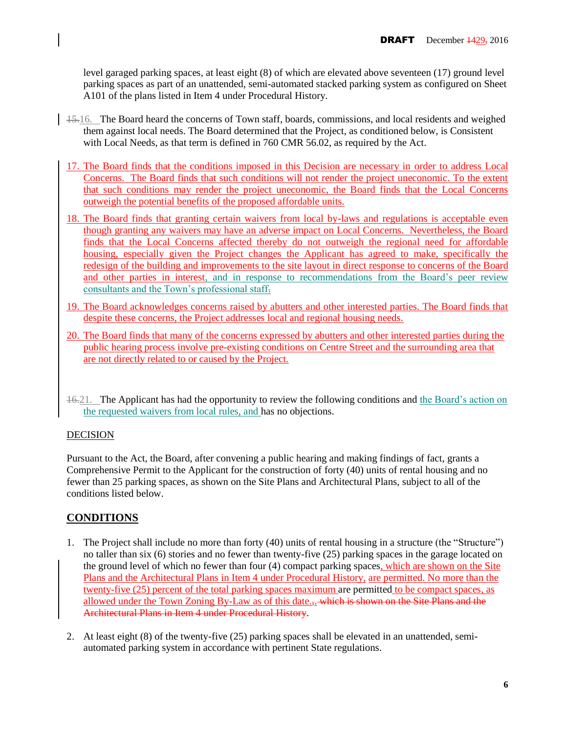level garaged parking spaces, at least eight (8) of which are elevated above seventeen (17) ground level parking spaces as part of an unattended, semi-automated stacked parking system as configured on Sheet A101 of the plans listed in Item 4 under Procedural History.

- $\frac{15.16}{ }$ . The Board heard the concerns of Town staff, boards, commissions, and local residents and weighed them against local needs. The Board determined that the Project, as conditioned below, is Consistent with Local Needs, as that term is defined in 760 CMR 56.02, as required by the Act.
	- 17. The Board finds that the conditions imposed in this Decision are necessary in order to address Local Concerns. The Board finds that such conditions will not render the project uneconomic. To the extent that such conditions may render the project uneconomic, the Board finds that the Local Concerns outweigh the potential benefits of the proposed affordable units.
	- 18. The Board finds that granting certain waivers from local by-laws and regulations is acceptable even though granting any waivers may have an adverse impact on Local Concerns. Nevertheless, the Board finds that the Local Concerns affected thereby do not outweigh the regional need for affordable housing, especially given the Project changes the Applicant has agreed to make, specifically the redesign of the building and improvements to the site layout in direct response to concerns of the Board and other parties in interest, and in response to recommendations from the Board's peer review consultants and the Town's professional staff.
	- 19. The Board acknowledges concerns raised by abutters and other interested parties. The Board finds that despite these concerns, the Project addresses local and regional housing needs.
	- 20. The Board finds that many of the concerns expressed by abutters and other interested parties during the public hearing process involve pre-existing conditions on Centre Street and the surrounding area that are not directly related to or caused by the Project.
	- 16.21. The Applicant has had the opportunity to review the following conditions and the Board's action on the requested waivers from local rules, and has no objections.

## DECISION

Pursuant to the Act, the Board, after convening a public hearing and making findings of fact, grants a Comprehensive Permit to the Applicant for the construction of forty (40) units of rental housing and no fewer than 25 parking spaces, as shown on the Site Plans and Architectural Plans, subject to all of the conditions listed below.

# **CONDITIONS**

- 1. The Project shall include no more than forty (40) units of rental housing in a structure (the "Structure") no taller than six (6) stories and no fewer than twenty-five (25) parking spaces in the garage located on the ground level of which no fewer than four (4) compact parking spaces, which are shown on the Site Plans and the Architectural Plans in Item 4 under Procedural History, are permitted. No more than the twenty-five (25) percent of the total parking spaces maximum are permitted to be compact spaces, as allowed under the Town Zoning By-Law as of this date... which is shown on the Site Plans and the Architectural Plans in Item 4 under Procedural History.
- 2. At least eight (8) of the twenty-five (25) parking spaces shall be elevated in an unattended, semiautomated parking system in accordance with pertinent State regulations.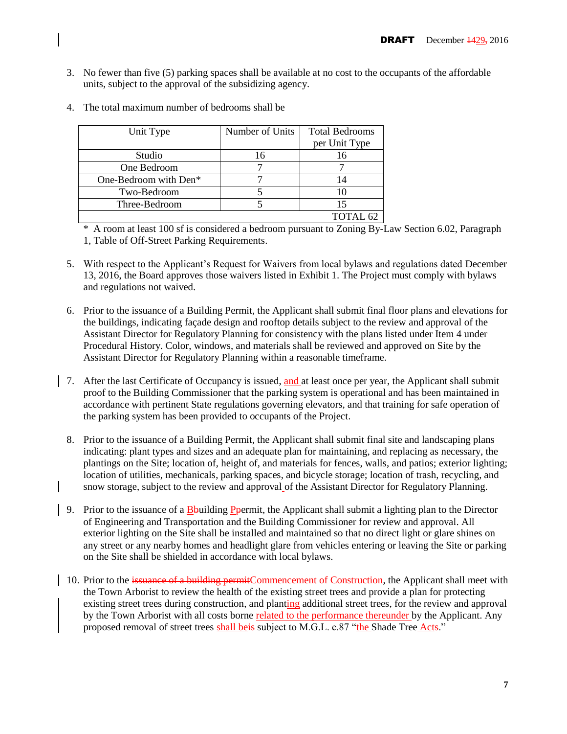3. No fewer than five (5) parking spaces shall be available at no cost to the occupants of the affordable units, subject to the approval of the subsidizing agency.

| Unit Type             | Number of Units | <b>Total Bedrooms</b><br>per Unit Type |
|-----------------------|-----------------|----------------------------------------|
|                       |                 |                                        |
| Studio                | 16              |                                        |
| One Bedroom           |                 |                                        |
| One-Bedroom with Den* |                 | 14                                     |
| Two-Bedroom           |                 | 10                                     |
| Three-Bedroom         |                 | 15                                     |
|                       |                 | TOTAL <sub>62</sub>                    |

4. The total maximum number of bedrooms shall be

\* A room at least 100 sf is considered a bedroom pursuant to Zoning By-Law Section 6.02, Paragraph 1, Table of Off-Street Parking Requirements.

- 5. With respect to the Applicant's Request for Waivers from local bylaws and regulations dated December 13, 2016, the Board approves those waivers listed in Exhibit 1. The Project must comply with bylaws and regulations not waived.
- 6. Prior to the issuance of a Building Permit, the Applicant shall submit final floor plans and elevations for the buildings, indicating façade design and rooftop details subject to the review and approval of the Assistant Director for Regulatory Planning for consistency with the plans listed under Item 4 under Procedural History. Color, windows, and materials shall be reviewed and approved on Site by the Assistant Director for Regulatory Planning within a reasonable timeframe.
- 7. After the last Certificate of Occupancy is issued, and at least once per year, the Applicant shall submit proof to the Building Commissioner that the parking system is operational and has been maintained in accordance with pertinent State regulations governing elevators, and that training for safe operation of the parking system has been provided to occupants of the Project.
	- 8. Prior to the issuance of a Building Permit, the Applicant shall submit final site and landscaping plans indicating: plant types and sizes and an adequate plan for maintaining, and replacing as necessary, the plantings on the Site; location of, height of, and materials for fences, walls, and patios; exterior lighting; location of utilities, mechanicals, parking spaces, and bicycle storage; location of trash, recycling, and snow storage, subject to the review and approval of the Assistant Director for Regulatory Planning.
- 9. Prior to the issuance of a Bbuilding Ppermit, the Applicant shall submit a lighting plan to the Director of Engineering and Transportation and the Building Commissioner for review and approval. All exterior lighting on the Site shall be installed and maintained so that no direct light or glare shines on any street or any nearby homes and headlight glare from vehicles entering or leaving the Site or parking on the Site shall be shielded in accordance with local bylaws.
- 10. Prior to the issuance of a building permitCommencement of Construction, the Applicant shall meet with the Town Arborist to review the health of the existing street trees and provide a plan for protecting existing street trees during construction, and planting additional street trees, for the review and approval by the Town Arborist with all costs borne related to the performance thereunder by the Applicant. Any proposed removal of street trees shall beis subject to M.G.L. c.87 "the Shade Tree Acts."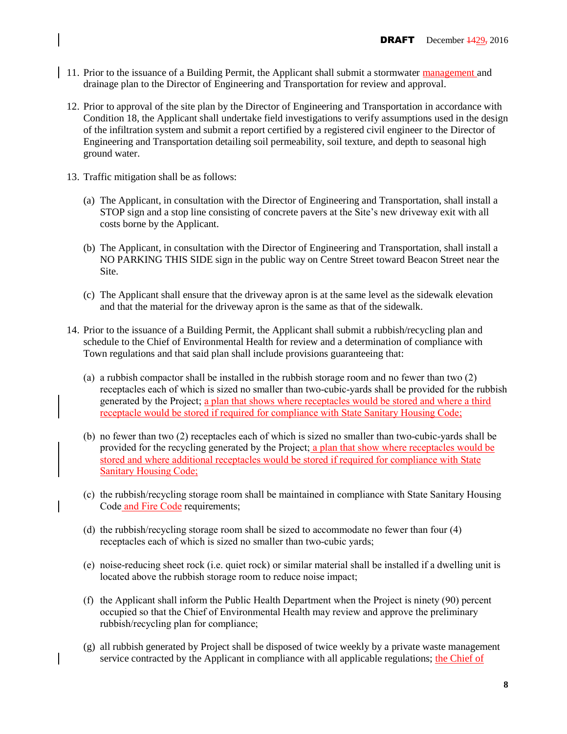- <sup>1</sup> 11. Prior to the issuance of a Building Permit, the Applicant shall submit a stormwater management and drainage plan to the Director of Engineering and Transportation for review and approval.
	- 12. Prior to approval of the site plan by the Director of Engineering and Transportation in accordance with Condition 18, the Applicant shall undertake field investigations to verify assumptions used in the design of the infiltration system and submit a report certified by a registered civil engineer to the Director of Engineering and Transportation detailing soil permeability, soil texture, and depth to seasonal high ground water.
	- 13. Traffic mitigation shall be as follows:
		- (a) The Applicant, in consultation with the Director of Engineering and Transportation, shall install a STOP sign and a stop line consisting of concrete pavers at the Site's new driveway exit with all costs borne by the Applicant.
		- (b) The Applicant, in consultation with the Director of Engineering and Transportation, shall install a NO PARKING THIS SIDE sign in the public way on Centre Street toward Beacon Street near the Site.
		- (c) The Applicant shall ensure that the driveway apron is at the same level as the sidewalk elevation and that the material for the driveway apron is the same as that of the sidewalk.
	- 14. Prior to the issuance of a Building Permit, the Applicant shall submit a rubbish/recycling plan and schedule to the Chief of Environmental Health for review and a determination of compliance with Town regulations and that said plan shall include provisions guaranteeing that:
		- (a) a rubbish compactor shall be installed in the rubbish storage room and no fewer than two (2) receptacles each of which is sized no smaller than two-cubic-yards shall be provided for the rubbish generated by the Project; a plan that shows where receptacles would be stored and where a third receptacle would be stored if required for compliance with State Sanitary Housing Code;
		- (b) no fewer than two (2) receptacles each of which is sized no smaller than two-cubic-yards shall be provided for the recycling generated by the Project; a plan that show where receptacles would be stored and where additional receptacles would be stored if required for compliance with State Sanitary Housing Code;
		- (c) the rubbish/recycling storage room shall be maintained in compliance with State Sanitary Housing Code and Fire Code requirements;
		- (d) the rubbish/recycling storage room shall be sized to accommodate no fewer than four (4) receptacles each of which is sized no smaller than two-cubic yards;
		- (e) noise-reducing sheet rock (i.e. quiet rock) or similar material shall be installed if a dwelling unit is located above the rubbish storage room to reduce noise impact;
		- (f) the Applicant shall inform the Public Health Department when the Project is ninety (90) percent occupied so that the Chief of Environmental Health may review and approve the preliminary rubbish/recycling plan for compliance;
		- (g) all rubbish generated by Project shall be disposed of twice weekly by a private waste management service contracted by the Applicant in compliance with all applicable regulations; the Chief of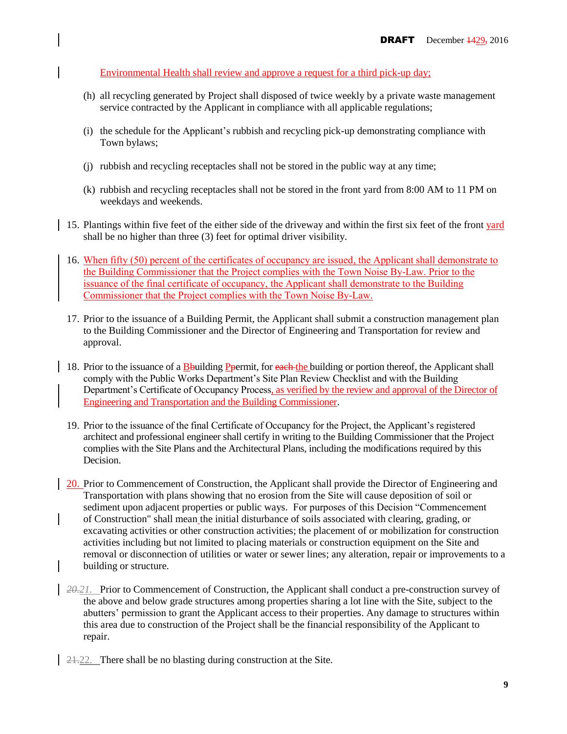Environmental Health shall review and approve a request for a third pick-up day;

- (h) all recycling generated by Project shall disposed of twice weekly by a private waste management service contracted by the Applicant in compliance with all applicable regulations;
- (i) the schedule for the Applicant's rubbish and recycling pick-up demonstrating compliance with Town bylaws;
- (j) rubbish and recycling receptacles shall not be stored in the public way at any time;
- (k) rubbish and recycling receptacles shall not be stored in the front yard from 8:00 AM to 11 PM on weekdays and weekends.
- 15. Plantings within five feet of the either side of the driveway and within the first six feet of the front yard shall be no higher than three (3) feet for optimal driver visibility.
- 16. When fifty (50) percent of the certificates of occupancy are issued, the Applicant shall demonstrate to the Building Commissioner that the Project complies with the Town Noise By-Law. Prior to the issuance of the final certificate of occupancy, the Applicant shall demonstrate to the Building Commissioner that the Project complies with the Town Noise By-Law.
- 17. Prior to the issuance of a Building Permit, the Applicant shall submit a construction management plan to the Building Commissioner and the Director of Engineering and Transportation for review and approval.
- 18. Prior to the issuance of a Bbuilding Ppermit, for each the building or portion thereof, the Applicant shall comply with the Public Works Department's Site Plan Review Checklist and with the Building Department's Certificate of Occupancy Process, as verified by the review and approval of the Director of Engineering and Transportation and the Building Commissioner.
- 19. Prior to the issuance of the final Certificate of Occupancy for the Project, the Applicant's registered architect and professional engineer shall certify in writing to the Building Commissioner that the Project complies with the Site Plans and the Architectural Plans, including the modifications required by this Decision.
- 20. Prior to Commencement of Construction, the Applicant shall provide the Director of Engineering and Transportation with plans showing that no erosion from the Site will cause deposition of soil or sediment upon adjacent properties or public ways. For purposes of this Decision "Commencement of Construction" shall mean the initial disturbance of soils associated with clearing, grading, or excavating activities or other construction activities; the placement of or mobilization for construction activities including but not limited to placing materials or construction equipment on the Site and removal or disconnection of utilities or water or sewer lines; any alteration, repair or improvements to a building or structure.
- *20.21.* Prior to Commencement of Construction, the Applicant shall conduct a pre-construction survey of the above and below grade structures among properties sharing a lot line with the Site, subject to the abutters' permission to grant the Applicant access to their properties. Any damage to structures within this area due to construction of the Project shall be the financial responsibility of the Applicant to repair.
- 21.22. There shall be no blasting during construction at the Site.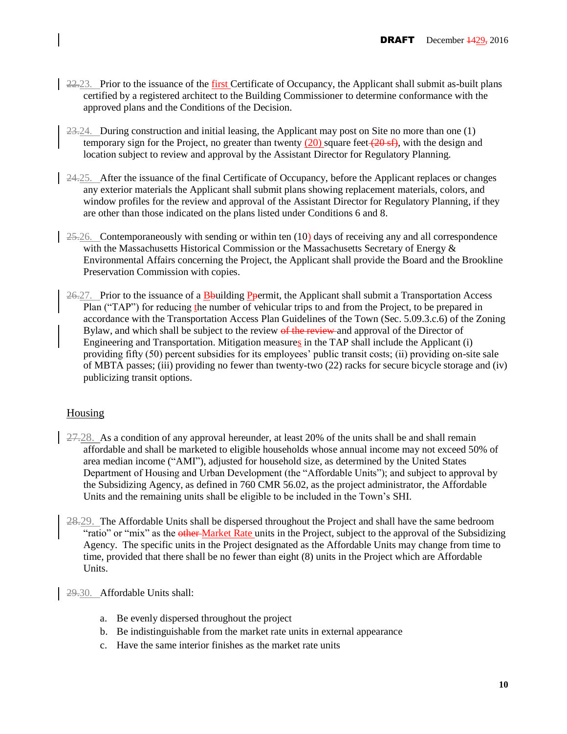- 22.23. Prior to the issuance of the first Certificate of Occupancy, the Applicant shall submit as-built plans certified by a registered architect to the Building Commissioner to determine conformance with the approved plans and the Conditions of the Decision.
- $23.24$ . During construction and initial leasing, the Applicant may post on Site no more than one  $(1)$ temporary sign for the Project, no greater than twenty  $(20)$  square feet  $(20 \text{ sf})$ , with the design and location subject to review and approval by the Assistant Director for Regulatory Planning.
- $\frac{24.25}{ }$ . After the issuance of the final Certificate of Occupancy, before the Applicant replaces or changes any exterior materials the Applicant shall submit plans showing replacement materials, colors, and window profiles for the review and approval of the Assistant Director for Regulatory Planning, if they are other than those indicated on the plans listed under Conditions 6 and 8.
- $25.26$ . Contemporaneously with sending or within ten (10) days of receiving any and all correspondence with the Massachusetts Historical Commission or the Massachusetts Secretary of Energy  $\&$ Environmental Affairs concerning the Project, the Applicant shall provide the Board and the Brookline Preservation Commission with copies.
- $26-27$ . Prior to the issuance of a Bbuilding Ppermit, the Applicant shall submit a Transportation Access Plan ("TAP") for reducing the number of vehicular trips to and from the Project, to be prepared in accordance with the Transportation Access Plan Guidelines of the Town (Sec. 5.09.3.c.6) of the Zoning Bylaw, and which shall be subject to the review of the review and approval of the Director of Engineering and Transportation. Mitigation measures in the TAP shall include the Applicant (i) providing fifty (50) percent subsidies for its employees' public transit costs; (ii) providing on-site sale of MBTA passes; (iii) providing no fewer than twenty-two (22) racks for secure bicycle storage and (iv) publicizing transit options.

# **Housing**

- 27.28. As a condition of any approval hereunder, at least 20% of the units shall be and shall remain affordable and shall be marketed to eligible households whose annual income may not exceed 50% of area median income ("AMI"), adjusted for household size, as determined by the United States Department of Housing and Urban Development (the "Affordable Units"); and subject to approval by the Subsidizing Agency, as defined in 760 CMR 56.02, as the project administrator, the Affordable Units and the remaining units shall be eligible to be included in the Town's SHI.
- 28.29. The Affordable Units shall be dispersed throughout the Project and shall have the same bedroom "ratio" or "mix" as the other Market Rate units in the Project, subject to the approval of the Subsidizing Agency. The specific units in the Project designated as the Affordable Units may change from time to time, provided that there shall be no fewer than eight (8) units in the Project which are Affordable Units.

29.30. Affordable Units shall:

- a. Be evenly dispersed throughout the project
- b. Be indistinguishable from the market rate units in external appearance
- c. Have the same interior finishes as the market rate units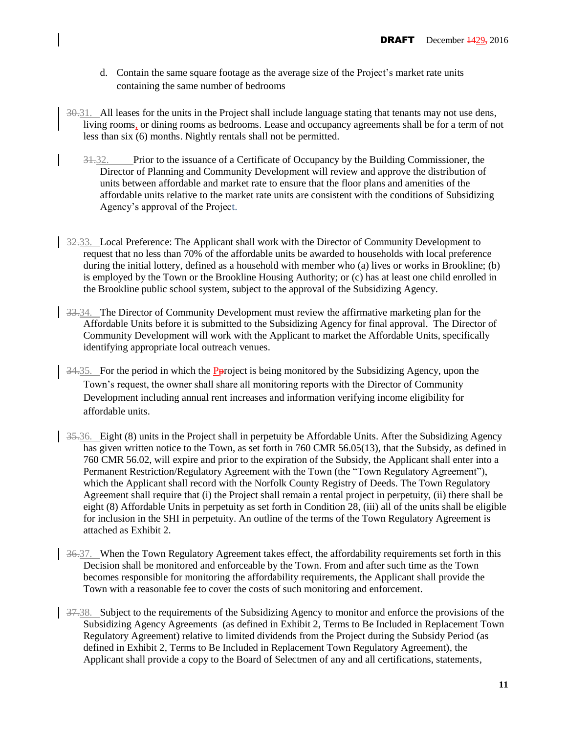- d. Contain the same square footage as the average size of the Project's market rate units containing the same number of bedrooms
- 30.31. All leases for the units in the Project shall include language stating that tenants may not use dens, living rooms, or dining rooms as bedrooms. Lease and occupancy agreements shall be for a term of not less than six (6) months. Nightly rentals shall not be permitted.
	- 31.32. Prior to the issuance of a Certificate of Occupancy by the Building Commissioner, the Director of Planning and Community Development will review and approve the distribution of units between affordable and market rate to ensure that the floor plans and amenities of the affordable units relative to the market rate units are consistent with the conditions of Subsidizing Agency's approval of the Project.
- 32.33. Local Preference: The Applicant shall work with the Director of Community Development to request that no less than 70% of the affordable units be awarded to households with local preference during the initial lottery, defined as a household with member who (a) lives or works in Brookline; (b) is employed by the Town or the Brookline Housing Authority; or (c) has at least one child enrolled in the Brookline public school system, subject to the approval of the Subsidizing Agency.
- $\frac{33.34}{8}$ . The Director of Community Development must review the affirmative marketing plan for the Affordable Units before it is submitted to the Subsidizing Agency for final approval. The Director of Community Development will work with the Applicant to market the Affordable Units, specifically identifying appropriate local outreach venues.
	- 34.35. For the period in which the Pproject is being monitored by the Subsidizing Agency, upon the Town's request, the owner shall share all monitoring reports with the Director of Community Development including annual rent increases and information verifying income eligibility for affordable units.
- 35.36. Eight (8) units in the Project shall in perpetuity be Affordable Units. After the Subsidizing Agency has given written notice to the Town, as set forth in 760 CMR 56.05(13), that the Subsidy, as defined in 760 CMR 56.02, will expire and prior to the expiration of the Subsidy, the Applicant shall enter into a Permanent Restriction/Regulatory Agreement with the Town (the "Town Regulatory Agreement"), which the Applicant shall record with the Norfolk County Registry of Deeds. The Town Regulatory Agreement shall require that (i) the Project shall remain a rental project in perpetuity, (ii) there shall be eight (8) Affordable Units in perpetuity as set forth in Condition 28, (iii) all of the units shall be eligible for inclusion in the SHI in perpetuity. An outline of the terms of the Town Regulatory Agreement is attached as Exhibit 2.
- 36.37. When the Town Regulatory Agreement takes effect, the affordability requirements set forth in this Decision shall be monitored and enforceable by the Town. From and after such time as the Town becomes responsible for monitoring the affordability requirements, the Applicant shall provide the Town with a reasonable fee to cover the costs of such monitoring and enforcement.
- 37.38. Subject to the requirements of the Subsidizing Agency to monitor and enforce the provisions of the Subsidizing Agency Agreements (as defined in Exhibit 2, Terms to Be Included in Replacement Town Regulatory Agreement) relative to limited dividends from the Project during the Subsidy Period (as defined in Exhibit 2, Terms to Be Included in Replacement Town Regulatory Agreement), the Applicant shall provide a copy to the Board of Selectmen of any and all certifications, statements,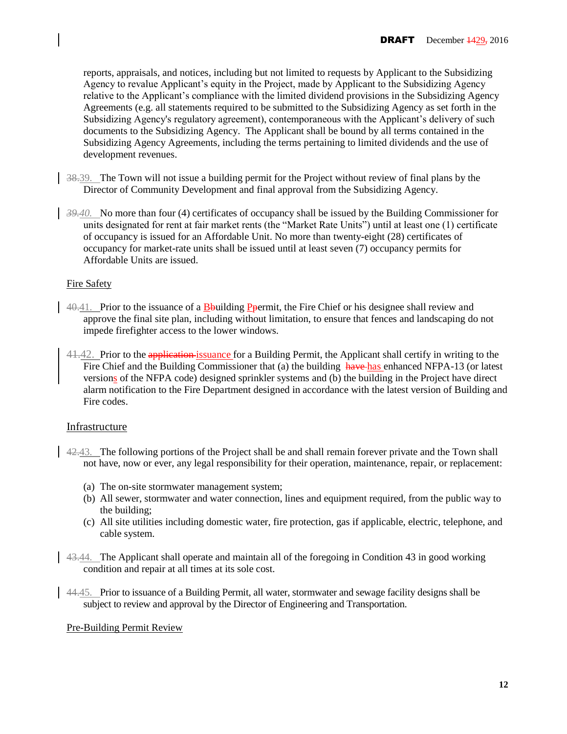reports, appraisals, and notices, including but not limited to requests by Applicant to the Subsidizing Agency to revalue Applicant's equity in the Project, made by Applicant to the Subsidizing Agency relative to the Applicant's compliance with the limited dividend provisions in the Subsidizing Agency Agreements (e.g. all statements required to be submitted to the Subsidizing Agency as set forth in the Subsidizing Agency's regulatory agreement), contemporaneous with the Applicant's delivery of such documents to the Subsidizing Agency. The Applicant shall be bound by all terms contained in the Subsidizing Agency Agreements, including the terms pertaining to limited dividends and the use of development revenues.

- 38.39. The Town will not issue a building permit for the Project without review of final plans by the Director of Community Development and final approval from the Subsidizing Agency.
- *39.40.* No more than four (4) certificates of occupancy shall be issued by the Building Commissioner for units designated for rent at fair market rents (the "Market Rate Units") until at least one (1) certificate of occupancy is issued for an Affordable Unit. No more than twenty-eight (28) certificates of occupancy for market-rate units shall be issued until at least seven (7) occupancy permits for Affordable Units are issued.

### Fire Safety

- $40.41$ . Prior to the issuance of a B-building P-permit, the Fire Chief or his designee shall review and approve the final site plan, including without limitation, to ensure that fences and landscaping do not impede firefighter access to the lower windows.
- 41.42. Prior to the application issuance for a Building Permit, the Applicant shall certify in writing to the Fire Chief and the Building Commissioner that (a) the building have has enhanced NFPA-13 (or latest versions of the NFPA code) designed sprinkler systems and (b) the building in the Project have direct alarm notification to the Fire Department designed in accordance with the latest version of Building and Fire codes.

## Infrastructure

- 42.43. The following portions of the Project shall be and shall remain forever private and the Town shall not have, now or ever, any legal responsibility for their operation, maintenance, repair, or replacement:
	- (a) The on-site stormwater management system;
	- (b) All sewer, stormwater and water connection, lines and equipment required, from the public way to the building;
	- (c) All site utilities including domestic water, fire protection, gas if applicable, electric, telephone, and cable system.
- 43.44. The Applicant shall operate and maintain all of the foregoing in Condition 43 in good working condition and repair at all times at its sole cost.
- 44.45. Prior to issuance of a Building Permit, all water, stormwater and sewage facility designs shall be subject to review and approval by the Director of Engineering and Transportation.

### Pre-Building Permit Review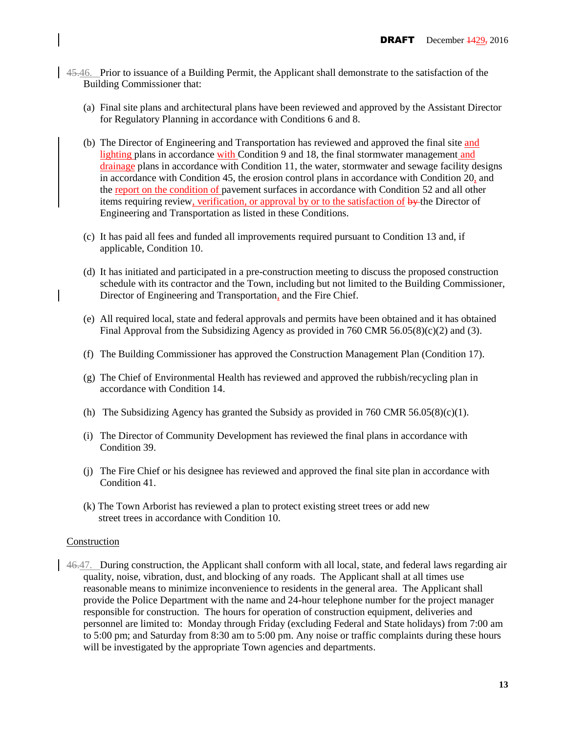- 45.46. Prior to issuance of a Building Permit, the Applicant shall demonstrate to the satisfaction of the Building Commissioner that:
	- (a) Final site plans and architectural plans have been reviewed and approved by the Assistant Director for Regulatory Planning in accordance with Conditions 6 and 8.
	- (b) The Director of Engineering and Transportation has reviewed and approved the final site and lighting plans in accordance with Condition 9 and 18, the final stormwater management and drainage plans in accordance with Condition 11, the water, stormwater and sewage facility designs in accordance with Condition 45, the erosion control plans in accordance with Condition 20, and the report on the condition of pavement surfaces in accordance with Condition 52 and all other items requiring review, verification, or approval by or to the satisfaction of by the Director of Engineering and Transportation as listed in these Conditions.
	- (c) It has paid all fees and funded all improvements required pursuant to Condition 13 and, if applicable, Condition 10.
	- (d) It has initiated and participated in a pre-construction meeting to discuss the proposed construction schedule with its contractor and the Town, including but not limited to the Building Commissioner, Director of Engineering and Transportation, and the Fire Chief.
	- (e) All required local, state and federal approvals and permits have been obtained and it has obtained Final Approval from the Subsidizing Agency as provided in 760 CMR 56.05(8)(c)(2) and (3).
	- (f) The Building Commissioner has approved the Construction Management Plan (Condition 17).
	- (g) The Chief of Environmental Health has reviewed and approved the rubbish/recycling plan in accordance with Condition 14.
	- (h) The Subsidizing Agency has granted the Subsidy as provided in 760 CMR 56.05(8)(c)(1).
	- (i) The Director of Community Development has reviewed the final plans in accordance with Condition 39.
	- (j) The Fire Chief or his designee has reviewed and approved the final site plan in accordance with Condition 41.
	- (k) The Town Arborist has reviewed a plan to protect existing street trees or add new street trees in accordance with Condition 10.

#### Construction

46.47. During construction, the Applicant shall conform with all local, state, and federal laws regarding air quality, noise, vibration, dust, and blocking of any roads. The Applicant shall at all times use reasonable means to minimize inconvenience to residents in the general area. The Applicant shall provide the Police Department with the name and 24-hour telephone number for the project manager responsible for construction. The hours for operation of construction equipment, deliveries and personnel are limited to: Monday through Friday (excluding Federal and State holidays) from 7:00 am to 5:00 pm; and Saturday from 8:30 am to 5:00 pm. Any noise or traffic complaints during these hours will be investigated by the appropriate Town agencies and departments.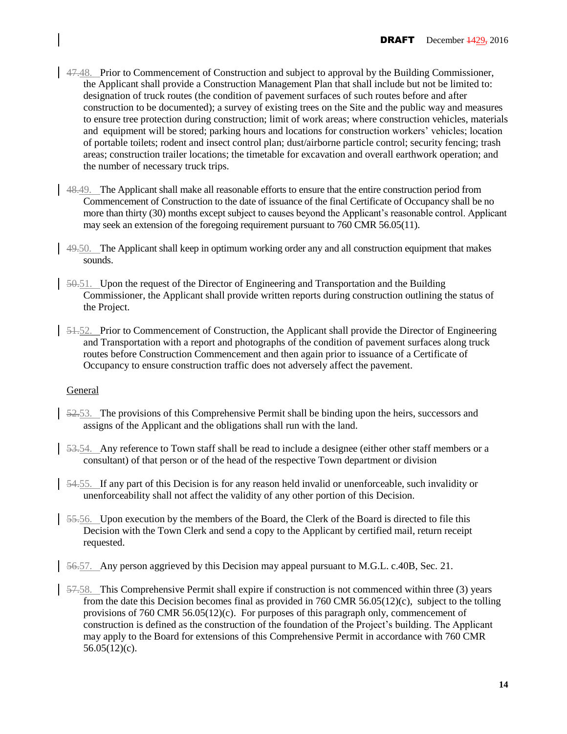- 47.48. Prior to Commencement of Construction and subject to approval by the Building Commissioner, the Applicant shall provide a Construction Management Plan that shall include but not be limited to: designation of truck routes (the condition of pavement surfaces of such routes before and after construction to be documented); a survey of existing trees on the Site and the public way and measures to ensure tree protection during construction; limit of work areas; where construction vehicles, materials and equipment will be stored; parking hours and locations for construction workers' vehicles; location of portable toilets; rodent and insect control plan; dust/airborne particle control; security fencing; trash areas; construction trailer locations; the timetable for excavation and overall earthwork operation; and the number of necessary truck trips.
- 48.49. The Applicant shall make all reasonable efforts to ensure that the entire construction period from Commencement of Construction to the date of issuance of the final Certificate of Occupancy shall be no more than thirty (30) months except subject to causes beyond the Applicant's reasonable control. Applicant may seek an extension of the foregoing requirement pursuant to 760 CMR 56.05(11).
- 49.50. The Applicant shall keep in optimum working order any and all construction equipment that makes sounds.
- 50.51. Upon the request of the Director of Engineering and Transportation and the Building Commissioner, the Applicant shall provide written reports during construction outlining the status of the Project.
- $\frac{51.52}{\pi}$  Prior to Commencement of Construction, the Applicant shall provide the Director of Engineering and Transportation with a report and photographs of the condition of pavement surfaces along truck routes before Construction Commencement and then again prior to issuance of a Certificate of Occupancy to ensure construction traffic does not adversely affect the pavement.

### General

- 52.53. The provisions of this Comprehensive Permit shall be binding upon the heirs, successors and assigns of the Applicant and the obligations shall run with the land.
- 53.54. Any reference to Town staff shall be read to include a designee (either other staff members or a consultant) of that person or of the head of the respective Town department or division
- 54.55. If any part of this Decision is for any reason held invalid or unenforceable, such invalidity or unenforceability shall not affect the validity of any other portion of this Decision.
- 55.56. Upon execution by the members of the Board, the Clerk of the Board is directed to file this Decision with the Town Clerk and send a copy to the Applicant by certified mail, return receipt requested.
- 56.57. Any person aggrieved by this Decision may appeal pursuant to M.G.L. c.40B, Sec. 21.
- 57.58. This Comprehensive Permit shall expire if construction is not commenced within three (3) years from the date this Decision becomes final as provided in 760 CMR 56.05(12)(c), subject to the tolling provisions of 760 CMR 56.05(12)(c). For purposes of this paragraph only, commencement of construction is defined as the construction of the foundation of the Project's building. The Applicant may apply to the Board for extensions of this Comprehensive Permit in accordance with 760 CMR 56.05(12)(c).